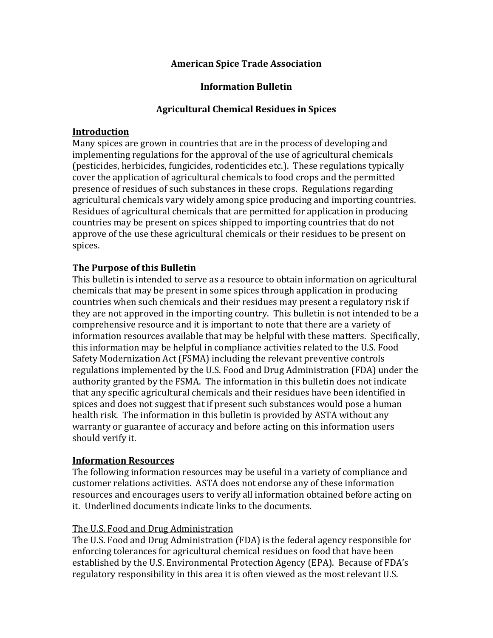### **American Spice Trade Association**

# **Information Bulletin**

# **Agricultural Chemical Residues in Spices**

#### **Introduction**

Many spices are grown in countries that are in the process of developing and implementing regulations for the approval of the use of agricultural chemicals (pesticides, herbicides, fungicides, rodenticides etc.). These regulations typically cover the application of agricultural chemicals to food crops and the permitted presence of residues of such substances in these crops. Regulations regarding agricultural chemicals vary widely among spice producing and importing countries. Residues of agricultural chemicals that are permitted for application in producing countries may be present on spices shipped to importing countries that do not approve of the use these agricultural chemicals or their residues to be present on spices.

# **The Purpose of this Bulletin**

This bulletin is intended to serve as a resource to obtain information on agricultural chemicals that may be present in some spices through application in producing countries when such chemicals and their residues may present a regulatory risk if they are not approved in the importing country. This bulletin is not intended to be a comprehensive resource and it is important to note that there are a variety of information resources available that may be helpful with these matters. Specifically, this information may be helpful in compliance activities related to the U.S. Food Safety Modernization Act (FSMA) including the relevant preventive controls regulations implemented by the U.S. Food and Drug Administration (FDA) under the authority granted by the FSMA. The information in this bulletin does not indicate that any specific agricultural chemicals and their residues have been identified in spices and does not suggest that if present such substances would pose a human health risk. The information in this bulletin is provided by ASTA without any warranty or guarantee of accuracy and before acting on this information users should verify it.

### **Information Resources**

The following information resources may be useful in a variety of compliance and customer relations activities. ASTA does not endorse any of these information resources and encourages users to verify all information obtained before acting on it. Underlined documents indicate links to the documents.

### The U.S. Food and Drug Administration

The U.S. Food and Drug Administration (FDA) is the federal agency responsible for enforcing tolerances for agricultural chemical residues on food that have been established by the U.S. Environmental Protection Agency (EPA). Because of FDA's regulatory responsibility in this area it is often viewed as the most relevant U.S.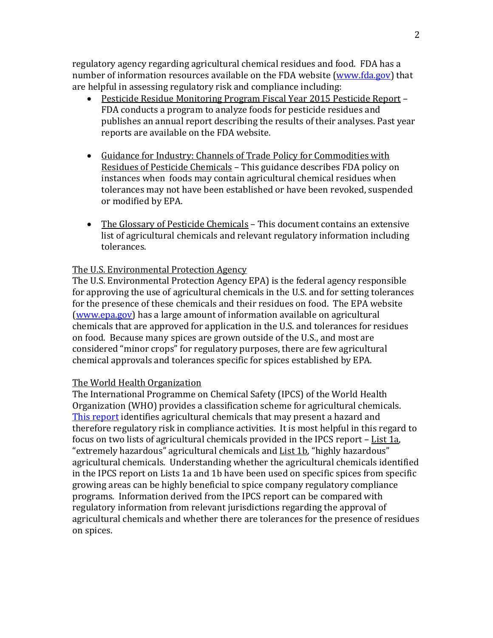regulatory agency regarding agricultural chemical residues and food. FDA has a number of information resources available on the FDA website [\(www.fda.gov\)](http://www.fda.gov/) that are helpful in assessing regulatory risk and compliance including:

- Pesticide Residue Monitoring Program Fiscal Year 2015 Pesticide Report FDA conducts a program to analyze foods for pesticide residues and publishes an annual report describing the results of their analyses. Past year reports are available on the FDA website.
- Guidance for Industry: Channels of Trade Policy for Commodities with Residues of Pesticide Chemicals – This guidance describes FDA policy on instances when foods may contain agricultural chemical residues when tolerances may not have been established or have been revoked, suspended or modified by EPA.
- The Glossary of Pesticide Chemicals This document contains an extensive list of agricultural chemicals and relevant regulatory information including tolerances.

### The U.S. Environmental Protection Agency

The U.S. Environmental Protection Agency EPA) is the federal agency responsible for approving the use of agricultural chemicals in the U.S. and for setting tolerances for the presence of these chemicals and their residues on food. The EPA website [\(www.epa.gov\)](http://www.epa.gov/) has a large amount of information available on agricultural chemicals that are approved for application in the U.S. and tolerances for residues on food. Because many spices are grown outside of the U.S., and most are considered "minor crops" for regulatory purposes, there are few agricultural chemical approvals and tolerances specific for spices established by EPA.

### The World Health Organization

The International Programme on Chemical Safety (IPCS) of the World Health Organization (WHO) provides a classification scheme for agricultural chemicals. [This report](http://www.astaspice.org/download/13329/) identifies agricultural chemicals that may present a hazard and therefore regulatory risk in compliance activities. It is most helpful in this regard to focus on two lists of agricultural chemicals provided in the IPCS report – List 1a, "extremely hazardous" agricultural chemicals and **List 1b**, "highly hazardous" agricultural chemicals. Understanding whether the agricultural chemicals identified in the IPCS report on Lists 1a and 1b have been used on specific spices from specific growing areas can be highly beneficial to spice company regulatory compliance programs. Information derived from the IPCS report can be compared with regulatory information from relevant jurisdictions regarding the approval of agricultural chemicals and whether there are tolerances for the presence of residues on spices.